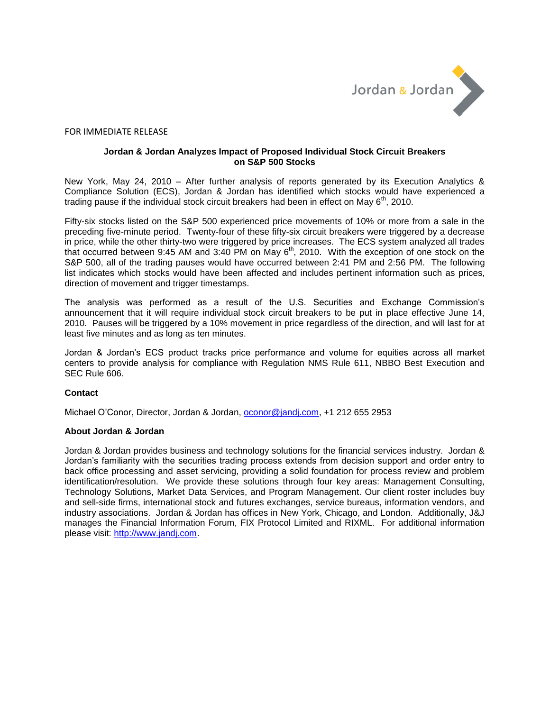

## FOR IMMEDIATE RELEASE

## **Jordan & Jordan Analyzes Impact of Proposed Individual Stock Circuit Breakers on S&P 500 Stocks**

New York, May 24, 2010 – After further analysis of reports generated by its Execution Analytics & Compliance Solution (ECS), Jordan & Jordan has identified which stocks would have experienced a trading pause if the individual stock circuit breakers had been in effect on May 6<sup>th</sup>, 2010.

Fifty-six stocks listed on the S&P 500 experienced price movements of 10% or more from a sale in the preceding five-minute period. Twenty-four of these fifty-six circuit breakers were triggered by a decrease in price, while the other thirty-two were triggered by price increases. The ECS system analyzed all trades that occurred between 9:45 AM and 3:40 PM on May  $6<sup>th</sup>$ , 2010. With the exception of one stock on the S&P 500, all of the trading pauses would have occurred between 2:41 PM and 2:56 PM. The following list indicates which stocks would have been affected and includes pertinent information such as prices, direction of movement and trigger timestamps.

The analysis was performed as a result of the U.S. Securities and Exchange Commission's announcement that it will require individual stock circuit breakers to be put in place effective June 14, 2010. Pauses will be triggered by a 10% movement in price regardless of the direction, and will last for at least five minutes and as long as ten minutes.

Jordan & Jordan's ECS product tracks price performance and volume for equities across all market centers to provide analysis for compliance with Regulation NMS Rule 611, NBBO Best Execution and SEC Rule 606.

## **Contact**

Michael O'Conor, Director, Jordan & Jordan, [oconor@jandj.com,](mailto:oconor@jandj.com) +1 212 655 2953

## **About Jordan & Jordan**

Jordan & Jordan provides business and technology solutions for the financial services industry. Jordan & Jordan's familiarity with the securities trading process extends from decision support and order entry to back office processing and asset servicing, providing a solid foundation for process review and problem identification/resolution. We provide these solutions through four key areas: Management Consulting, Technology Solutions, Market Data Services, and Program Management. Our client roster includes buy and sell-side firms, international stock and futures exchanges, service bureaus, information vendors, and industry associations. Jordan & Jordan has offices in New York, Chicago, and London. Additionally, J&J manages the Financial Information Forum, FIX Protocol Limited and RIXML. For additional information please visit: [http://www.jandj.com.](http://www.jandj.com/)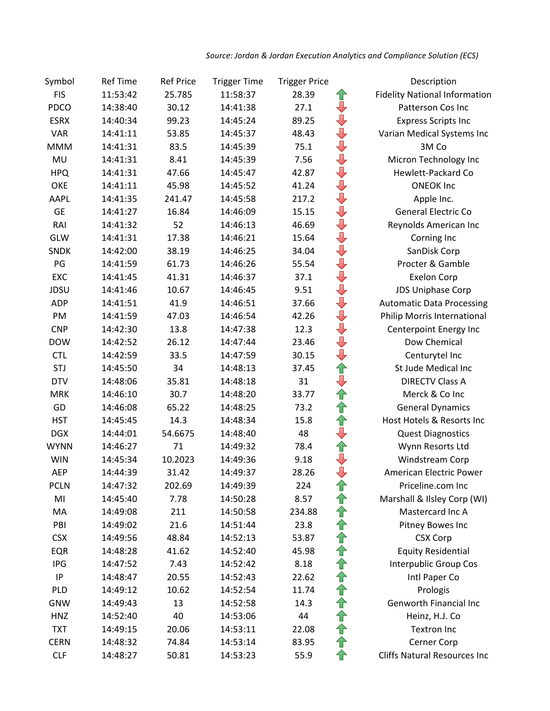| Symbol      | <b>Ref Time</b> | <b>Ref Price</b> | <b>Trigger Time</b> | <b>Trigger Price</b> |                                | Description                          |
|-------------|-----------------|------------------|---------------------|----------------------|--------------------------------|--------------------------------------|
| <b>FIS</b>  | 11:53:42        | 25.785           | 11:58:37            | 28.39                | ⇧                              | <b>Fidelity National Information</b> |
| PDCO        | 14:38:40        | 30.12            | 14:41:38            | 27.1                 | $\overline{\mathbb{U}}$        | Patterson Cos Inc                    |
| <b>ESRX</b> | 14:40:34        | 99.23            | 14:45:24            | 89.25                | $\overline{\mathbb{P}}$        | <b>Express Scripts Inc</b>           |
| <b>VAR</b>  | 14:41:11        | 53.85            | 14:45:37            | 48.43                | $\overline{\P}$                | Varian Medical Systems Inc           |
| <b>MMM</b>  | 14:41:31        | 83.5             | 14:45:39            | 75.1                 | $\overline{\mathbb{P}}$        | 3M Co                                |
| MU          | 14:41:31        | 8.41             | 14:45:39            | 7.56                 | $\overline{\mathbb{Q}}$        | Micron Technology Inc                |
| <b>HPQ</b>  | 14:41:31        | 47.66            | 14:45:47            | 42.87                | $\overline{\mathbb{L}}$        | Hewlett-Packard Co                   |
| OKE         | 14:41:11        | 45.98            | 14:45:52            | 41.24                | $\color{red} \bigtriangledown$ | <b>ONEOK Inc</b>                     |
| AAPL        | 14:41:35        | 241.47           | 14:45:58            | 217.2                | ♦                              | Apple Inc.                           |
| <b>GE</b>   | 14:41:27        | 16.84            | 14:46:09            | 15.15                | $\overline{\mathbb{Q}}$        | General Electric Co                  |
| RAI         | 14:41:32        | 52               | 14:46:13            | 46.69                | $\overline{\mathbb{U}}$        | Reynolds American Inc                |
| GLW         | 14:41:31        | 17.38            | 14:46:21            | 15.64                | $\overline{\mathbb{Q}}$        | Corning Inc                          |
| <b>SNDK</b> | 14:42:00        | 38.19            | 14:46:25            | 34.04                | $\overline{\mathbb{Q}}$        | SanDisk Corp                         |
| PG          | 14:41:59        | 61.73            | 14:46:26            | 55.54                | $\overline{\mathbb{Q}}$        | Procter & Gamble                     |
| EXC         | 14:41:45        | 41.31            | 14:46:37            | 37.1                 | $\overline{\P}$                | <b>Exelon Corp</b>                   |
| JDSU        | 14:41:46        | 10.67            | 14:46:45            | 9.51                 | $\overline{\mathbb{R}}$        | <b>JDS Uniphase Corp</b>             |
| <b>ADP</b>  | 14:41:51        | 41.9             | 14:46:51            | 37.66                | $\overline{\mathbb{L}}$        | <b>Automatic Data Processing</b>     |
| PM          | 14:41:59        | 47.03            | 14:46:54            | 42.26                | $\overline{\mathbb{P}}$        | Philip Morris International          |
| <b>CNP</b>  | 14:42:30        | 13.8             | 14:47:38            | 12.3                 | $\overline{\mathbb{Q}}$        | Centerpoint Energy Inc               |
| <b>DOW</b>  | 14:42:52        | 26.12            | 14:47:44            | 23.46                | ⇩                              | Dow Chemical                         |
| <b>CTL</b>  | 14:42:59        | 33.5             | 14:47:59            | 30.15                | $\overline{\mathbb{L}}$        | Centurytel Inc                       |
| STJ         | 14:45:50        | 34               | 14:48:13            | 37.45                | 仐                              | St Jude Medical Inc                  |
| <b>DTV</b>  | 14:48:06        | 35.81            | 14:48:18            | 31                   | リイオ                            | <b>DIRECTV Class A</b>               |
| <b>MRK</b>  | 14:46:10        | 30.7             | 14:48:20            | 33.77                |                                | Merck & Co Inc                       |
| GD          | 14:46:08        | 65.22            | 14:48:25            | 73.2                 | ⇧                              | <b>General Dynamics</b>              |
| <b>HST</b>  | 14:45:45        | 14.3             | 14:48:34            | 15.8                 | 仐                              | Host Hotels & Resorts Inc            |
| <b>DGX</b>  | 14:44:01        | 54.6675          | 14:48:40            | 48                   | ⇩                              | <b>Quest Diagnostics</b>             |
| <b>WYNN</b> | 14:46:27        | 71               | 14:49:32            | 78.4                 | 仐                              | Wynn Resorts Ltd                     |
| <b>WIN</b>  | 14:45:34        | 10.2023          | 14:49:36            | 9.18                 | $\overline{\mathbb{Q}}$        | Windstream Corp                      |
| <b>AEP</b>  | 14:44:39        | 31.42            | 14:49:37            | 28.26                | $\overline{\mathbb{Q}}$        | American Electric Power              |
| <b>PCLN</b> | 14:47:32        | 202.69           | 14:49:39            | 224                  | ⇧                              | Priceline.com Inc                    |
| MI          | 14:45:40        | 7.78             | 14:50:28            | 8.57                 | ⇧                              | Marshall & Ilsley Corp (WI)          |
| MA          | 14:49:08        | 211              | 14:50:58            | 234.88               | ⇧                              | Mastercard Inc A                     |
| PBI         | 14:49:02        | 21.6             | 14:51:44            | 23.8                 | ⇧                              | Pitney Bowes Inc                     |
| <b>CSX</b>  | 14:49:56        | 48.84            | 14:52:13            | 53.87                | 仐                              | <b>CSX Corp</b>                      |
| EQR         | 14:48:28        | 41.62            | 14:52:40            | 45.98                | ⇧                              | <b>Equity Residential</b>            |
| IPG         | 14:47:52        | 7.43             | 14:52:42            | 8.18                 | 介介                             | Interpublic Group Cos                |
| $\sf IP$    | 14:48:47        | 20.55            | 14:52:43            | 22.62                |                                | Intl Paper Co                        |
| PLD         | 14:49:12        | 10.62            | 14:52:54            | 11.74                | ⇧                              | Prologis                             |
| <b>GNW</b>  | 14:49:43        | 13               | 14:52:58            | 14.3                 | ⇧                              | Genworth Financial Inc               |
| <b>HNZ</b>  | 14:52:40        | 40               | 14:53:06            | 44                   | ⇑                              | Heinz, H.J. Co                       |
| <b>TXT</b>  | 14:49:15        | 20.06            | 14:53:11            | 22.08                | ⇧                              | <b>Textron Inc</b>                   |
| <b>CERN</b> | 14:48:32        | 74.84            | 14:53:14            | 83.95                | ⇧                              | Cerner Corp                          |
| <b>CLF</b>  | 14:48:27        | 50.81            | 14:53:23            | 55.9                 | 仐                              | <b>Cliffs Natural Resources Inc</b>  |